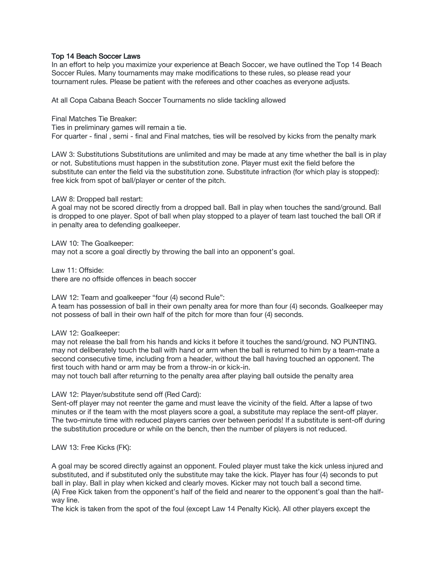## Top 14 Beach Soccer Laws

In an effort to help you maximize your experience at Beach Soccer, we have outlined the Top 14 Beach Soccer Rules. Many tournaments may make modifications to these rules, so please read your tournament rules. Please be patient with the referees and other coaches as everyone adjusts.

At all Copa Cabana Beach Soccer Tournaments no slide tackling allowed

Final Matches Tie Breaker:

Ties in preliminary games will remain a tie. For quarter - final , semi - final and Final matches, ties will be resolved by kicks from the penalty mark

LAW 3: Substitutions Substitutions are unlimited and may be made at any time whether the ball is in play or not. Substitutions must happen in the substitution zone. Player must exit the field before the substitute can enter the field via the substitution zone. Substitute infraction (for which play is stopped): free kick from spot of ball/player or center of the pitch.

LAW 8: Dropped ball restart:

A goal may not be scored directly from a dropped ball. Ball in play when touches the sand/ground. Ball is dropped to one player. Spot of ball when play stopped to a player of team last touched the ball OR if in penalty area to defending goalkeeper.

LAW 10: The Goalkeeper:

may not a score a goal directly by throwing the ball into an opponent's goal.

Law 11: Offside: there are no offside offences in beach soccer

LAW 12: Team and goalkeeper "four (4) second Rule":

A team has possession of ball in their own penalty area for more than four (4) seconds. Goalkeeper may not possess of ball in their own half of the pitch for more than four (4) seconds.

LAW 12: Goalkeeper:

may not release the ball from his hands and kicks it before it touches the sand/ground. NO PUNTING. may not deliberately touch the ball with hand or arm when the ball is returned to him by a team-mate a second consecutive time, including from a header, without the ball having touched an opponent. The first touch with hand or arm may be from a throw-in or kick-in.

may not touch ball after returning to the penalty area after playing ball outside the penalty area

LAW 12: Player/substitute send off (Red Card):

Sent-off player may not reenter the game and must leave the vicinity of the field. After a lapse of two minutes or if the team with the most players score a goal, a substitute may replace the sent-off player. The two-minute time with reduced players carries over between periods! If a substitute is sent-off during the substitution procedure or while on the bench, then the number of players is not reduced.

LAW 13: Free Kicks (FK):

A goal may be scored directly against an opponent. Fouled player must take the kick unless injured and substituted, and if substituted only the substitute may take the kick. Player has four (4) seconds to put ball in play. Ball in play when kicked and clearly moves. Kicker may not touch ball a second time. (A) Free Kick taken from the opponent's half of the field and nearer to the opponent's goal than the halfway line.

The kick is taken from the spot of the foul (except Law 14 Penalty Kick). All other players except the